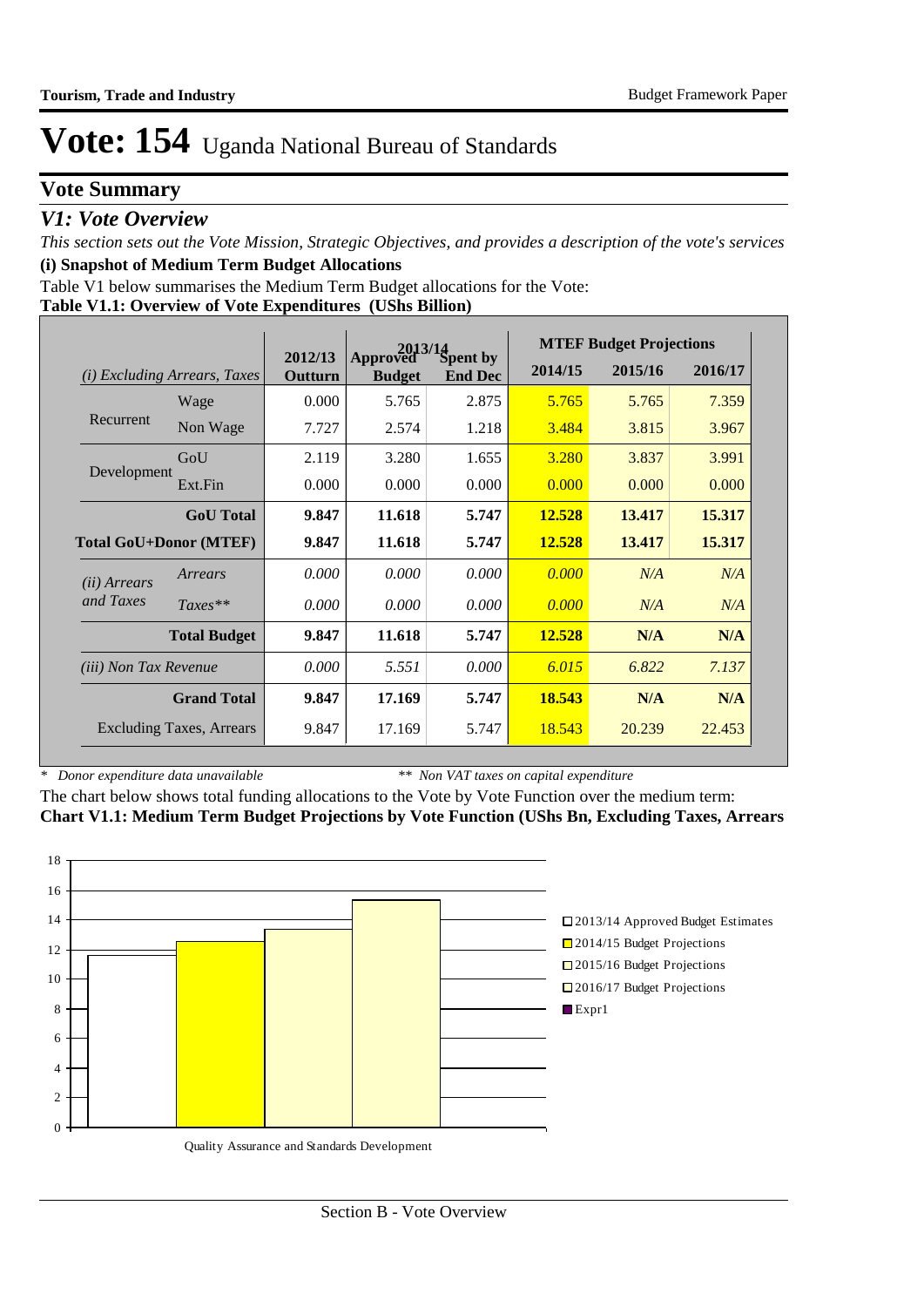## **Vote Summary**

### *V1: Vote Overview*

*This section sets out the Vote Mission, Strategic Objectives, and provides a description of the vote's services* **(i) Snapshot of Medium Term Budget Allocations** 

Table V1 below summarises the Medium Term Budget allocations for the Vote:

#### **Table V1.1: Overview of Vote Expenditures (UShs Billion)**

|                               |                                 |                    | 2013/14                   |                                   |         | <b>MTEF Budget Projections</b> |         |
|-------------------------------|---------------------------------|--------------------|---------------------------|-----------------------------------|---------|--------------------------------|---------|
| (i)                           | <i>Excluding Arrears, Taxes</i> | 2012/13<br>Outturn | Approved<br><b>Budget</b> | <b>Spent by</b><br><b>End Dec</b> | 2014/15 | 2015/16                        | 2016/17 |
|                               | Wage                            | 0.000              | 5.765                     | 2.875                             | 5.765   | 5.765                          | 7.359   |
| Recurrent                     | Non Wage                        | 7.727              | 2.574                     | 1.218                             | 3.484   | 3.815                          | 3.967   |
|                               | GoU                             | 2.119              | 3.280                     | 1.655                             | 3.280   | 3.837                          | 3.991   |
| Development                   | Ext.Fin                         | 0.000              | 0.000                     | 0.000                             | 0.000   | 0.000                          | 0.000   |
|                               | <b>GoU</b> Total                | 9.847              | 11.618                    | 5.747                             | 12.528  | 13.417                         | 15.317  |
| <b>Total GoU+Donor (MTEF)</b> |                                 | 9.847              | 11.618                    | 5.747                             | 12.528  | 13.417                         | 15.317  |
| ( <i>ii</i> ) Arrears         | Arrears                         | 0.000              | 0.000                     | 0.000                             | 0.000   | N/A                            | N/A     |
| and Taxes                     | $Taxes**$                       | 0.000              | 0.000                     | 0.000                             | 0.000   | N/A                            | N/A     |
|                               | <b>Total Budget</b>             | 9.847              | 11.618                    | 5.747                             | 12.528  | N/A                            | N/A     |
| (iii) Non Tax Revenue         |                                 | 0.000              | 5.551                     | 0.000                             | 6.015   | 6.822                          | 7.137   |
|                               | <b>Grand Total</b>              | 9.847              | 17.169                    | 5.747                             | 18.543  | N/A                            | N/A     |
|                               | <b>Excluding Taxes, Arrears</b> | 9.847              | 17.169                    | 5.747                             | 18.543  | 20.239                         | 22.453  |

*\* Donor expenditure data unavailable*

*\*\* Non VAT taxes on capital expenditure*

The chart below shows total funding allocations to the Vote by Vote Function over the medium term: **Chart V1.1: Medium Term Budget Projections by Vote Function (UShs Bn, Excluding Taxes, Arrears**

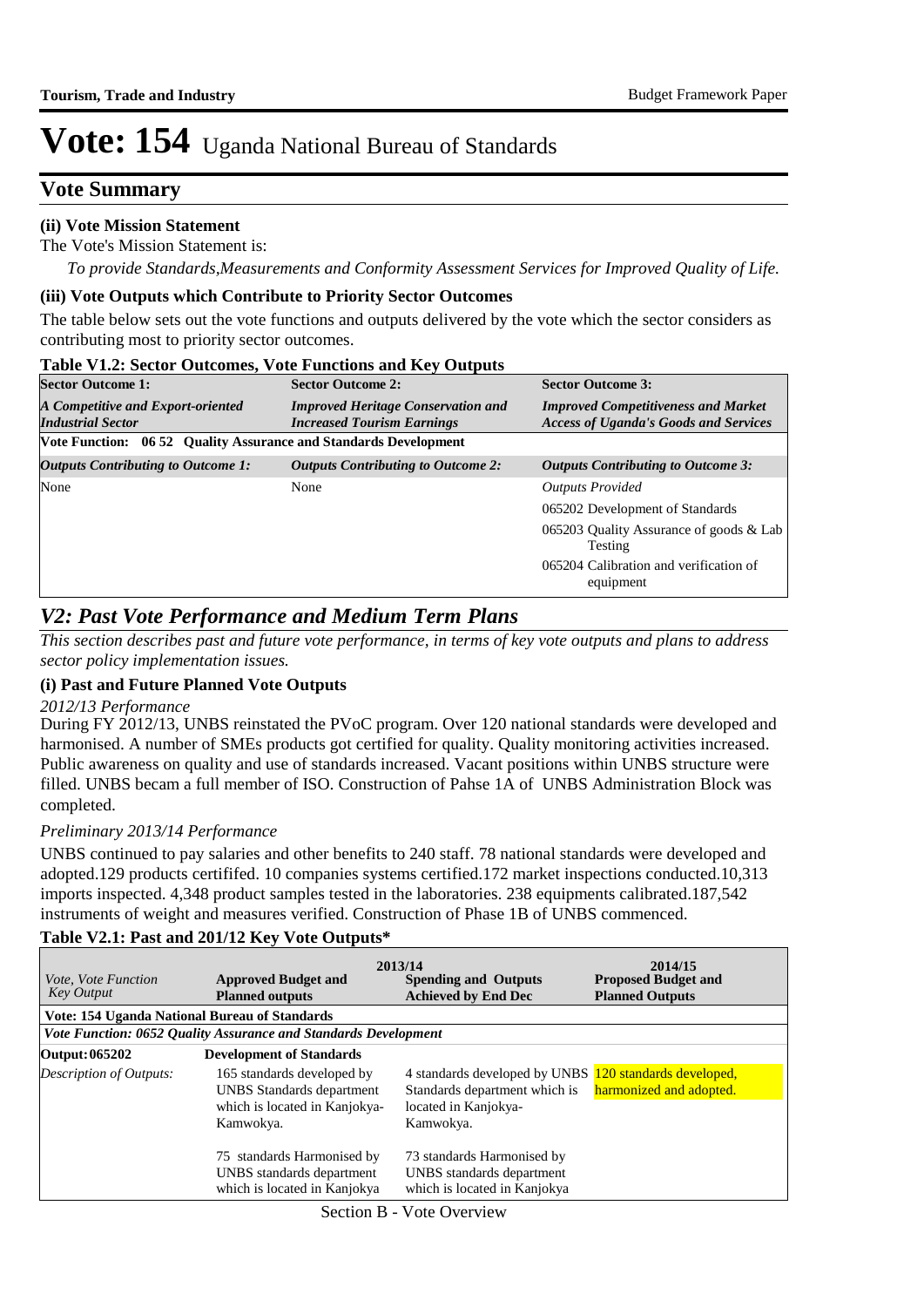### **Vote Summary**

#### **(ii) Vote Mission Statement**

The Vote's Mission Statement is:

*To provide Standards,Measurements and Conformity Assessment Services for Improved Quality of Life.*

#### **(iii) Vote Outputs which Contribute to Priority Sector Outcomes**

The table below sets out the vote functions and outputs delivered by the vote which the sector considers as contributing most to priority sector outcomes.

| <b>Table V1.2: Sector Outcomes, Vote Functions and Key Outputs</b> |                                                                                |                                                                                            |
|--------------------------------------------------------------------|--------------------------------------------------------------------------------|--------------------------------------------------------------------------------------------|
| <b>Sector Outcome 1:</b>                                           | <b>Sector Outcome 2:</b>                                                       | <b>Sector Outcome 3:</b>                                                                   |
| A Competitive and Export-oriented<br><b>Industrial Sector</b>      | <b>Improved Heritage Conservation and</b><br><b>Increased Tourism Earnings</b> | <b>Improved Competitiveness and Market</b><br><b>Access of Uganda's Goods and Services</b> |
| Vote Function: 06 52 Quality Assurance and Standards Development   |                                                                                |                                                                                            |
| <b>Outputs Contributing to Outcome 1:</b>                          | <b>Outputs Contributing to Outcome 2:</b>                                      | <b>Outputs Contributing to Outcome 3:</b>                                                  |
| None                                                               | None                                                                           | <b>Outputs Provided</b>                                                                    |
|                                                                    |                                                                                | 065202 Development of Standards                                                            |
|                                                                    |                                                                                | 065203 Quality Assurance of goods & Lab<br>Testing                                         |
|                                                                    |                                                                                | 065204 Calibration and verification of<br>equipment                                        |

### *V2: Past Vote Performance and Medium Term Plans*

*This section describes past and future vote performance, in terms of key vote outputs and plans to address sector policy implementation issues.* 

#### **(i) Past and Future Planned Vote Outputs**

#### *2012/13 Performance*

During FY 2012/13, UNBS reinstated the PVoC program. Over 120 national standards were developed and harmonised. A number of SMEs products got certified for quality. Quality monitoring activities increased. Public awareness on quality and use of standards increased. Vacant positions within UNBS structure were filled. UNBS becam a full member of ISO. Construction of Pahse 1A of UNBS Administration Block was completed.

#### *Preliminary 2013/14 Performance*

UNBS continued to pay salaries and other benefits to 240 staff. 78 national standards were developed and adopted.129 products certififed. 10 companies systems certified.172 market inspections conducted.10,313 imports inspected. 4,348 product samples tested in the laboratories. 238 equipments calibrated.187,542 instruments of weight and measures verified. Construction of Phase 1B of UNBS commenced.

| <i>Vote, Vote Function</i><br>Key Output | <b>Approved Budget and</b><br><b>Planned outputs</b>                                                         | 2013/14<br><b>Spending and Outputs</b><br><b>Achieved by End Dec</b>                                                         | 2014/15<br><b>Proposed Budget and</b><br><b>Planned Outputs</b> |
|------------------------------------------|--------------------------------------------------------------------------------------------------------------|------------------------------------------------------------------------------------------------------------------------------|-----------------------------------------------------------------|
|                                          | Vote: 154 Uganda National Bureau of Standards                                                                |                                                                                                                              |                                                                 |
|                                          | Vote Function: 0652 Quality Assurance and Standards Development                                              |                                                                                                                              |                                                                 |
| Output: 065202                           | <b>Development of Standards</b>                                                                              |                                                                                                                              |                                                                 |
| Description of Outputs:                  | 165 standards developed by<br><b>UNBS</b> Standards department<br>which is located in Kanjokya-<br>Kamwokya. | 4 standards developed by UNBS 120 standards developed,<br>Standards department which is<br>located in Kanjokya-<br>Kamwokya. | harmonized and adopted.                                         |
|                                          | 75 standards Harmonised by<br>UNBS standards department<br>which is located in Kanjokya                      | 73 standards Harmonised by<br>UNBS standards department<br>which is located in Kanjokya                                      |                                                                 |

#### **Table V2.1: Past and 201/12 Key Vote Outputs\***

Section B - Vote Overview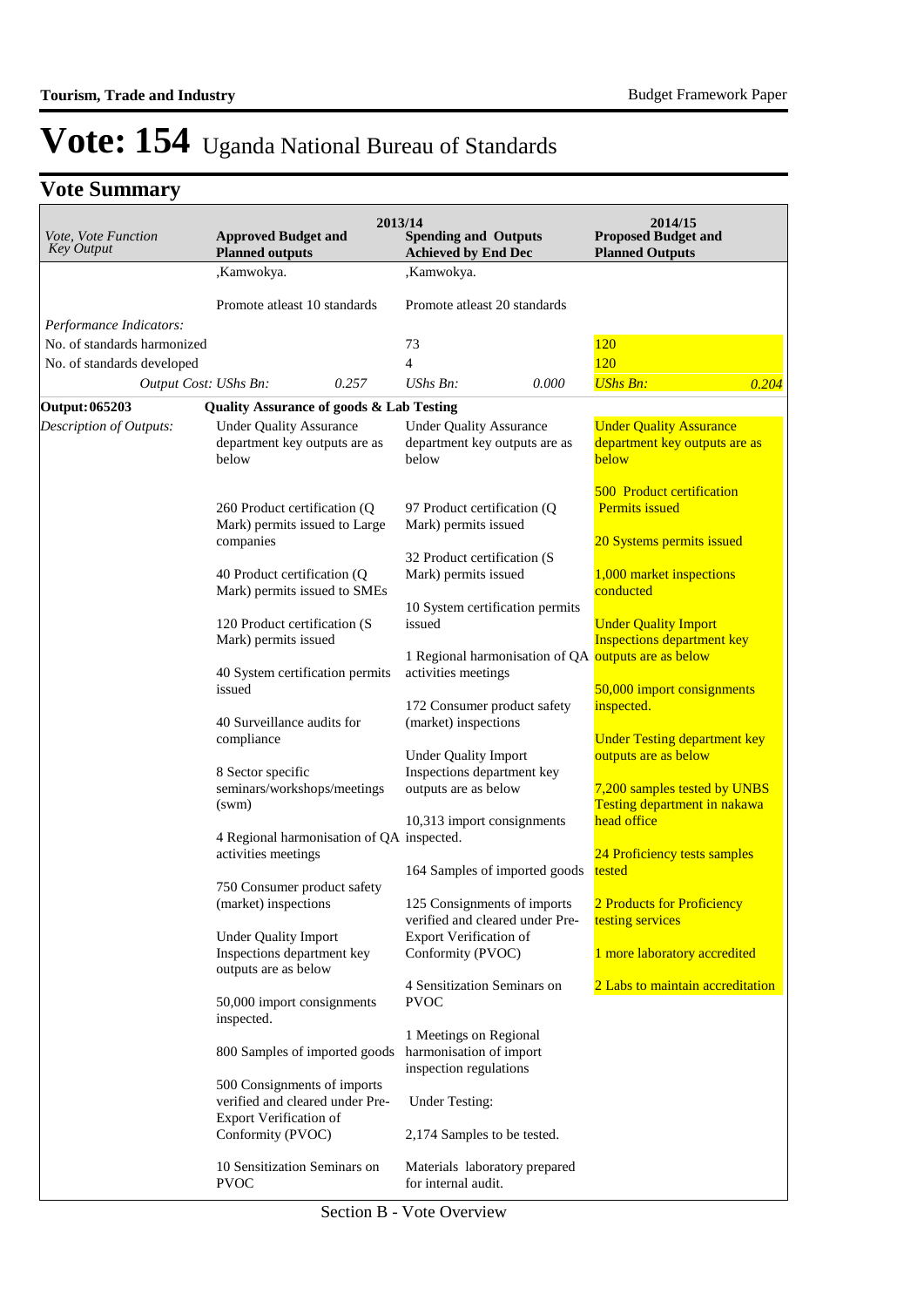## **Vote Summary**

| <i>Vote, Vote Function</i><br>Key Output                  | <b>Approved Budget and</b><br><b>Planned outputs</b>                                            | 2013/14 | <b>Spending and Outputs</b><br><b>Achieved by End Dec</b>                                                 |       | 2014/15<br><b>Proposed Budget and</b><br><b>Planned Outputs</b>                        |       |
|-----------------------------------------------------------|-------------------------------------------------------------------------------------------------|---------|-----------------------------------------------------------------------------------------------------------|-------|----------------------------------------------------------------------------------------|-------|
|                                                           | ,Kamwokya.                                                                                      |         | ,Kamwokya.                                                                                                |       |                                                                                        |       |
|                                                           | Promote atleast 10 standards                                                                    |         | Promote atleast 20 standards                                                                              |       |                                                                                        |       |
| Performance Indicators:                                   |                                                                                                 |         |                                                                                                           |       |                                                                                        |       |
| No. of standards harmonized<br>No. of standards developed |                                                                                                 |         | 73<br>4                                                                                                   |       | <b>120</b><br><b>120</b>                                                               |       |
| Output Cost: UShs Bn:                                     | 0.257                                                                                           |         | UShs Bn:                                                                                                  | 0.000 | <b>UShs Bn:</b>                                                                        | 0.204 |
| <b>Output: 065203</b>                                     | <b>Quality Assurance of goods &amp; Lab Testing</b>                                             |         |                                                                                                           |       |                                                                                        |       |
| Description of Outputs:                                   | <b>Under Quality Assurance</b><br>department key outputs are as<br>below                        |         | <b>Under Quality Assurance</b><br>department key outputs are as<br>below                                  |       | <b>Under Quality Assurance</b><br>department key outputs are as<br>below               |       |
|                                                           | 260 Product certification (Q)<br>Mark) permits issued to Large<br>companies                     |         | 97 Product certification (Q)<br>Mark) permits issued                                                      |       | <b>500 Product certification</b><br><b>Permits issued</b><br>20 Systems permits issued |       |
|                                                           | 40 Product certification (Q)<br>Mark) permits issued to SMEs                                    |         | 32 Product certification (S<br>Mark) permits issued                                                       |       | 1,000 market inspections<br>conducted                                                  |       |
|                                                           | 120 Product certification (S<br>Mark) permits issued                                            |         | 10 System certification permits<br>issued                                                                 |       | <b>Under Quality Import</b><br><b>Inspections department key</b>                       |       |
|                                                           | 40 System certification permits<br>issued                                                       |         | 1 Regional harmonisation of QA outputs are as below<br>activities meetings<br>172 Consumer product safety |       | 50,000 import consignments<br>inspected.                                               |       |
|                                                           | 40 Surveillance audits for<br>compliance                                                        |         | (market) inspections<br><b>Under Quality Import</b>                                                       |       | <b>Under Testing department key</b><br>outputs are as below                            |       |
|                                                           | 8 Sector specific<br>seminars/workshops/meetings<br>(sum)                                       |         | Inspections department key<br>outputs are as below                                                        |       | 7,200 samples tested by UNBS<br>Testing department in nakawa                           |       |
|                                                           | 4 Regional harmonisation of QA inspected.<br>activities meetings                                |         | 10,313 import consignments                                                                                |       | head office<br>24 Proficiency tests samples                                            |       |
|                                                           |                                                                                                 |         | 164 Samples of imported goods                                                                             |       | tested                                                                                 |       |
|                                                           | 750 Consumer product safety<br>(market) inspections                                             |         | 125 Consignments of imports<br>verified and cleared under Pre-                                            |       | 2 Products for Proficiency<br>testing services                                         |       |
|                                                           | <b>Under Quality Import</b><br>Inspections department key<br>outputs are as below               |         | Export Verification of<br>Conformity (PVOC)                                                               |       | 1 more laboratory accredited                                                           |       |
|                                                           | 50,000 import consignments<br>inspected.                                                        |         | 4 Sensitization Seminars on<br><b>PVOC</b>                                                                |       | 2 Labs to maintain accreditation                                                       |       |
|                                                           | 800 Samples of imported goods                                                                   |         | 1 Meetings on Regional<br>harmonisation of import<br>inspection regulations                               |       |                                                                                        |       |
|                                                           | 500 Consignments of imports<br>verified and cleared under Pre-<br><b>Export Verification of</b> |         | <b>Under Testing:</b>                                                                                     |       |                                                                                        |       |
|                                                           | Conformity (PVOC)                                                                               |         | 2,174 Samples to be tested.                                                                               |       |                                                                                        |       |
|                                                           | 10 Sensitization Seminars on<br><b>PVOC</b>                                                     |         | Materials laboratory prepared<br>for internal audit.                                                      |       |                                                                                        |       |

Section B - Vote Overview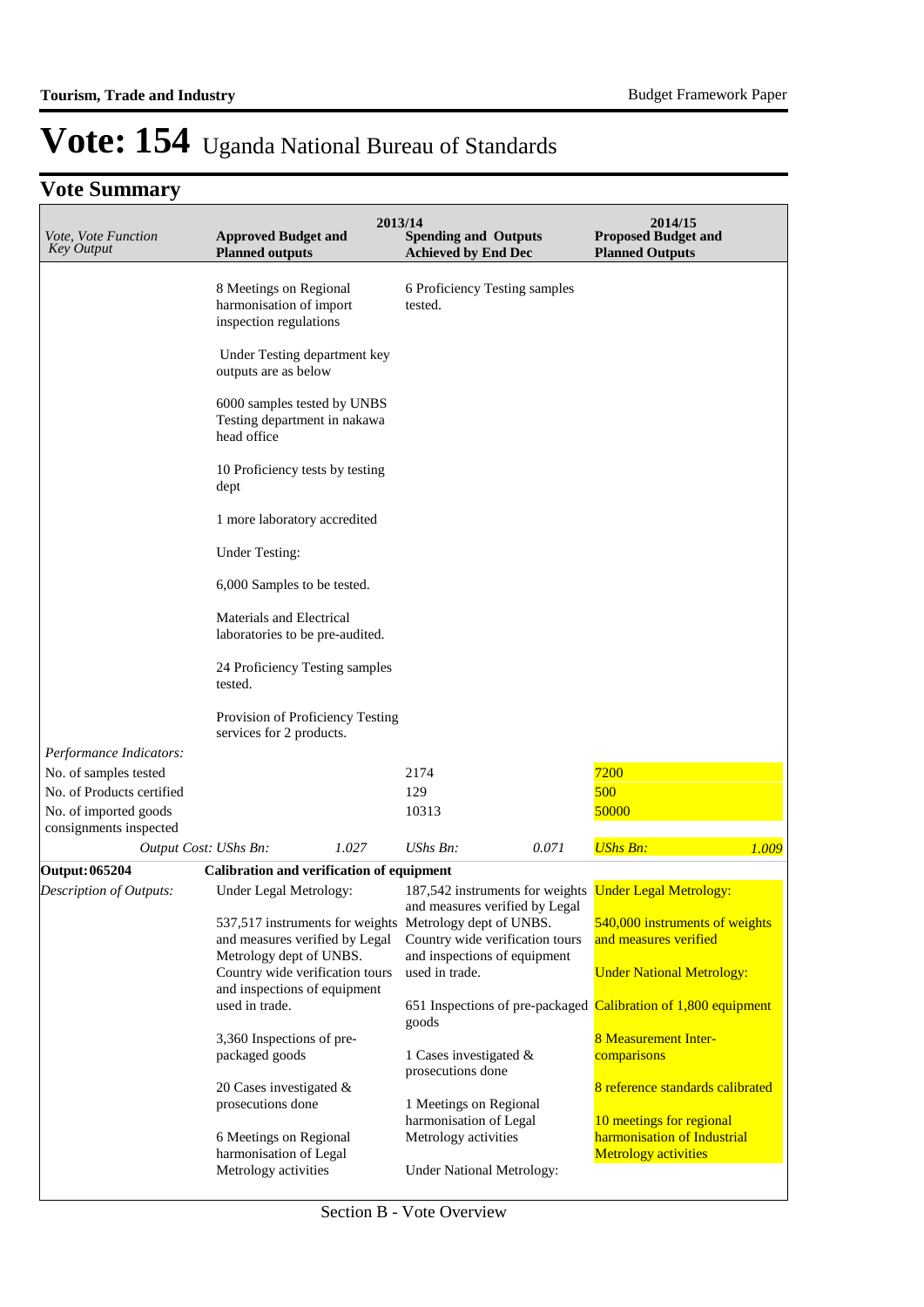## **Vote Summary**

| Vote, Vote Function<br><b>Key Output</b>        | <b>Approved Budget and</b><br><b>Planned outputs</b>                        |       | 2013/14<br><b>Spending and Outputs</b><br><b>Achieved by End Dec</b> |       | 2014/15<br><b>Proposed Budget and</b><br><b>Planned Outputs</b> |
|-------------------------------------------------|-----------------------------------------------------------------------------|-------|----------------------------------------------------------------------|-------|-----------------------------------------------------------------|
|                                                 | 8 Meetings on Regional<br>harmonisation of import<br>inspection regulations |       | 6 Proficiency Testing samples<br>tested.                             |       |                                                                 |
|                                                 | Under Testing department key<br>outputs are as below                        |       |                                                                      |       |                                                                 |
|                                                 | 6000 samples tested by UNBS<br>Testing department in nakawa<br>head office  |       |                                                                      |       |                                                                 |
|                                                 | 10 Proficiency tests by testing<br>dept                                     |       |                                                                      |       |                                                                 |
|                                                 | 1 more laboratory accredited                                                |       |                                                                      |       |                                                                 |
|                                                 | <b>Under Testing:</b>                                                       |       |                                                                      |       |                                                                 |
|                                                 | 6,000 Samples to be tested.                                                 |       |                                                                      |       |                                                                 |
|                                                 | Materials and Electrical<br>laboratories to be pre-audited.                 |       |                                                                      |       |                                                                 |
|                                                 | 24 Proficiency Testing samples<br>tested.                                   |       |                                                                      |       |                                                                 |
|                                                 | Provision of Proficiency Testing<br>services for 2 products.                |       |                                                                      |       |                                                                 |
| Performance Indicators:                         |                                                                             |       |                                                                      |       |                                                                 |
| No. of samples tested                           |                                                                             |       | 2174                                                                 |       | 7200                                                            |
| No. of Products certified                       |                                                                             |       | 129                                                                  |       | 500                                                             |
| No. of imported goods<br>consignments inspected |                                                                             |       | 10313                                                                |       | 50000                                                           |
| Output Cost: UShs Bn:                           |                                                                             | 1.027 | UShs Bn:                                                             | 0.071 | <b>UShs Bn:</b><br>1.009                                        |
| Output: 065204                                  | Calibration and verification of equipment                                   |       |                                                                      |       |                                                                 |
| Description of Outputs:                         | Under Legal Metrology:                                                      |       | and measures verified by Legal                                       |       | 187,542 instruments for weights <b>Under Legal Metrology:</b>   |
|                                                 | 537,517 instruments for weights                                             |       | Metrology dept of UNBS.                                              |       | 540,000 instruments of weights                                  |
|                                                 | and measures verified by Legal<br>Metrology dept of UNBS.                   |       | Country wide verification tours<br>and inspections of equipment      |       | and measures verified                                           |
|                                                 | Country wide verification tours<br>and inspections of equipment             |       | used in trade.                                                       |       | <b>Under National Metrology:</b>                                |
|                                                 | used in trade.                                                              |       | goods                                                                |       | 651 Inspections of pre-packaged Calibration of 1,800 equipment  |
|                                                 | 3,360 Inspections of pre-                                                   |       |                                                                      |       | <b>8 Measurement Inter-</b>                                     |
|                                                 | packaged goods                                                              |       | 1 Cases investigated &<br>prosecutions done                          |       | comparisons                                                     |
|                                                 | 20 Cases investigated $\&$                                                  |       |                                                                      |       | 8 reference standards calibrated                                |
|                                                 | prosecutions done                                                           |       | 1 Meetings on Regional                                               |       |                                                                 |
|                                                 |                                                                             |       | harmonisation of Legal                                               |       | 10 meetings for regional                                        |
|                                                 | 6 Meetings on Regional<br>harmonisation of Legal                            |       | Metrology activities                                                 |       | harmonisation of Industrial<br><b>Metrology activities</b>      |
|                                                 | Metrology activities                                                        |       | <b>Under National Metrology:</b>                                     |       |                                                                 |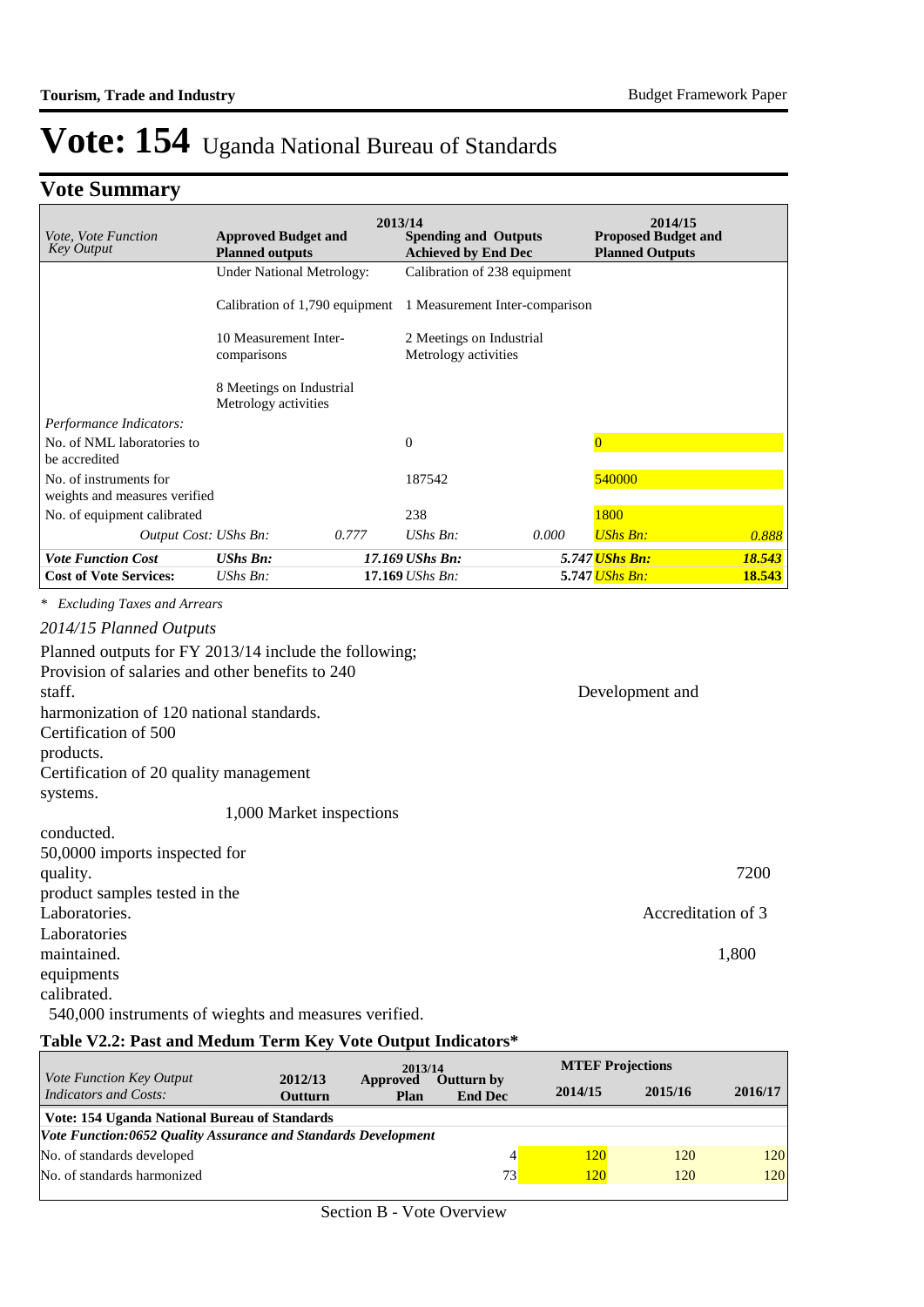## **Vote Summary**

| <i>Vote, Vote Function</i><br><b>Key Output</b> | <b>Approved Budget and</b><br><b>Planned outputs</b> |       | 2013/14<br><b>Spending and Outputs</b><br><b>Achieved by End Dec</b> |                                | 2014/15<br><b>Proposed Budget and</b><br><b>Planned Outputs</b> |        |
|-------------------------------------------------|------------------------------------------------------|-------|----------------------------------------------------------------------|--------------------------------|-----------------------------------------------------------------|--------|
|                                                 | <b>Under National Metrology:</b>                     |       | Calibration of 238 equipment                                         |                                |                                                                 |        |
|                                                 | Calibration of 1,790 equipment                       |       |                                                                      | 1 Measurement Inter-comparison |                                                                 |        |
|                                                 | 10 Measurement Inter-<br>comparisons                 |       | 2 Meetings on Industrial<br>Metrology activities                     |                                |                                                                 |        |
|                                                 | 8 Meetings on Industrial<br>Metrology activities     |       |                                                                      |                                |                                                                 |        |
| Performance Indicators:                         |                                                      |       |                                                                      |                                |                                                                 |        |
| No. of NML laboratories to                      |                                                      |       | $\Omega$                                                             |                                | $\Omega$                                                        |        |
| be accredited<br>No. of instruments for         |                                                      |       | 187542                                                               |                                | 540000                                                          |        |
| weights and measures verified                   |                                                      |       |                                                                      |                                |                                                                 |        |
| No. of equipment calibrated                     |                                                      |       | 238                                                                  |                                | 1800                                                            |        |
| Output Cost: UShs Bn:                           |                                                      | 0.777 | $UShs Bn$ :                                                          | 0.000                          | <b>UShs Bn:</b>                                                 | 0.888  |
| <b>Vote Function Cost</b>                       | <b>UShs Bn:</b>                                      |       | 17.169 UShs Bn:                                                      |                                | 5.747 <i>UShs Bn:</i>                                           | 18.543 |
| <b>Cost of Vote Services:</b>                   | $UShs Bn$ :                                          |       | $17.169$ UShs Bn:                                                    |                                | 5.747 <mark>UShs Bn:</mark>                                     | 18.543 |

*\* Excluding Taxes and Arrears*

| 2014/15 Planned Outputs                               |                    |
|-------------------------------------------------------|--------------------|
| Planned outputs for FY 2013/14 include the following; |                    |
| Provision of salaries and other benefits to 240       |                    |
| staff.                                                | Development and    |
| harmonization of 120 national standards.              |                    |
| Certification of 500                                  |                    |
| products.                                             |                    |
| Certification of 20 quality management                |                    |
| systems.                                              |                    |
| 1,000 Market inspections                              |                    |
| conducted.                                            |                    |
| 50,0000 imports inspected for                         |                    |
| quality.                                              | 7200               |
| product samples tested in the                         |                    |
| Laboratories.                                         | Accreditation of 3 |
| Laboratories                                          |                    |
| maintained.                                           | 1,800              |
| equipments                                            |                    |
| calibrated.                                           |                    |
| 540,000 instruments of wieghts and measures verified. |                    |

### **Table V2.2: Past and Medum Term Key Vote Output Indicators\***

|                                                                 |                           | 2013/14          |                                     | <b>MTEF Projections</b> |         |         |
|-----------------------------------------------------------------|---------------------------|------------------|-------------------------------------|-------------------------|---------|---------|
| <i>Vote Function Key Output</i><br><b>Indicators and Costs:</b> | 2012/13<br><b>Outturn</b> | Approved<br>Plan | <b>Outturn by</b><br><b>End Dec</b> | 2014/15                 | 2015/16 | 2016/17 |
| Vote: 154 Uganda National Bureau of Standards                   |                           |                  |                                     |                         |         |         |
| Vote Function:0652 Quality Assurance and Standards Development  |                           |                  |                                     |                         |         |         |
| No. of standards developed                                      |                           |                  |                                     | 120                     | 120     | 120     |
| No. of standards harmonized                                     |                           |                  | 73                                  | 120                     | 120     | 120     |
|                                                                 |                           |                  |                                     |                         |         |         |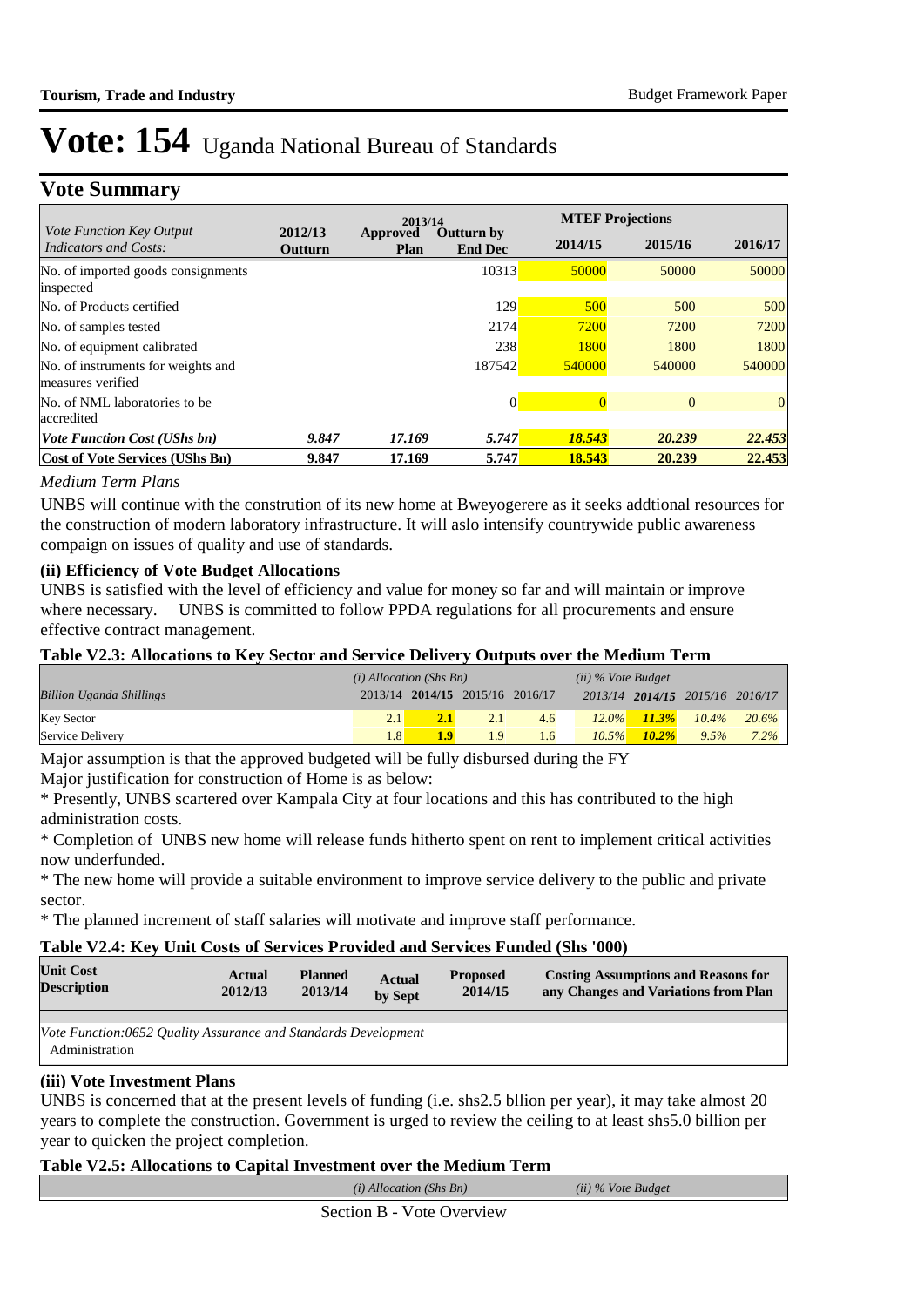### **Vote Summary**

|                                                                 |                    | 2013/14                 |                                     |         | <b>MTEF Projections</b> |                |
|-----------------------------------------------------------------|--------------------|-------------------------|-------------------------------------|---------|-------------------------|----------------|
| <i>Vote Function Key Output</i><br><b>Indicators and Costs:</b> | 2012/13<br>Outturn | <b>Approved</b><br>Plan | <b>Outturn by</b><br><b>End Dec</b> | 2014/15 | 2015/16                 | 2016/17        |
| No. of imported goods consignments<br>inspected                 |                    |                         | 10313                               | 50000   | 50000                   | 50000          |
| No. of Products certified                                       |                    |                         | 129                                 | 500     | 500                     | 500            |
| No. of samples tested                                           |                    |                         | 2174                                | 7200    | 7200                    | 7200           |
| No. of equipment calibrated                                     |                    |                         | 238                                 | 1800    | 1800                    | 1800           |
| No. of instruments for weights and<br>measures verified         |                    |                         | 187542                              | 540000  | 540000                  | 540000         |
| No. of NML laboratories to be<br>accredited                     |                    |                         | 0                                   |         | $\mathbf{0}$            | $\overline{0}$ |
| <b>Vote Function Cost (UShs bn)</b>                             | 9.847              | 17.169                  | 5.747                               | 18.543  | 20.239                  | 22.453         |
| Cost of Vote Services (UShs Bn)                                 | 9.847              | 17.169                  | 5.747                               | 18.543  | 20.239                  | 22.453         |

#### *Medium Term Plans*

UNBS will continue with the constrution of its new home at Bweyogerere as it seeks addtional resources for the construction of modern laboratory infrastructure. It will aslo intensify countrywide public awareness compaign on issues of quality and use of standards.

#### **(ii) Efficiency of Vote Budget Allocations**

UNBS is satisfied with the level of efficiency and value for money so far and will maintain or improve where necessary. UNBS is committed to follow PPDA regulations for all procurements and ensure effective contract management.

#### **Table V2.3: Allocations to Key Sector and Service Delivery Outputs over the Medium Term**

|                                 | $(i)$ Allocation (Shs Bn) |                                 |     |               | $(ii)$ % Vote Budget |          |                                 |         |
|---------------------------------|---------------------------|---------------------------------|-----|---------------|----------------------|----------|---------------------------------|---------|
| <b>Billion Uganda Shillings</b> |                           | 2013/14 2014/15 2015/16 2016/17 |     |               |                      |          | 2013/14 2014/15 2015/16 2016/17 |         |
| <b>Key Sector</b>               | 2.1                       |                                 |     | $4.6^{\circ}$ | $12.0\%$             | $11.3\%$ | $10.4\%$                        | 20.6%   |
| Service Delivery                | 1.8                       | 1.9                             | 1.9 | 1.6           | $10.5\%$             | $10.2\%$ | 9.5%                            | $7.2\%$ |

Major assumption is that the approved budgeted will be fully disbursed during the FY Major justification for construction of Home is as below:

\* Presently, UNBS scartered over Kampala City at four locations and this has contributed to the high administration costs.

\* Completion of UNBS new home will release funds hitherto spent on rent to implement critical activities now underfunded.

\* The new home will provide a suitable environment to improve service delivery to the public and private sector.

\* The planned increment of staff salaries will motivate and improve staff performance.

#### **Table V2.4: Key Unit Costs of Services Provided and Services Funded (Shs '000)**

| <b>Unit Cost</b>   | Actual  | <b>Planned</b> | <b>Actual</b> | <b>Proposed</b> | <b>Costing Assumptions and Reasons for</b> |
|--------------------|---------|----------------|---------------|-----------------|--------------------------------------------|
| <b>Description</b> | 2012/13 | 2013/14        | by Sept       | 2014/15         | any Changes and Variations from Plan       |
|                    |         |                |               |                 |                                            |

*Vote Function:0652 Quality Assurance and Standards Development* Administration

#### **(iii) Vote Investment Plans**

UNBS is concerned that at the present levels of funding (i.e. shs2.5 bllion per year), it may take almost 20 years to complete the construction. Government is urged to review the ceiling to at least shs5.0 billion per year to quicken the project completion.

#### **Table V2.5: Allocations to Capital Investment over the Medium Term**

|--|

Section B - Vote Overview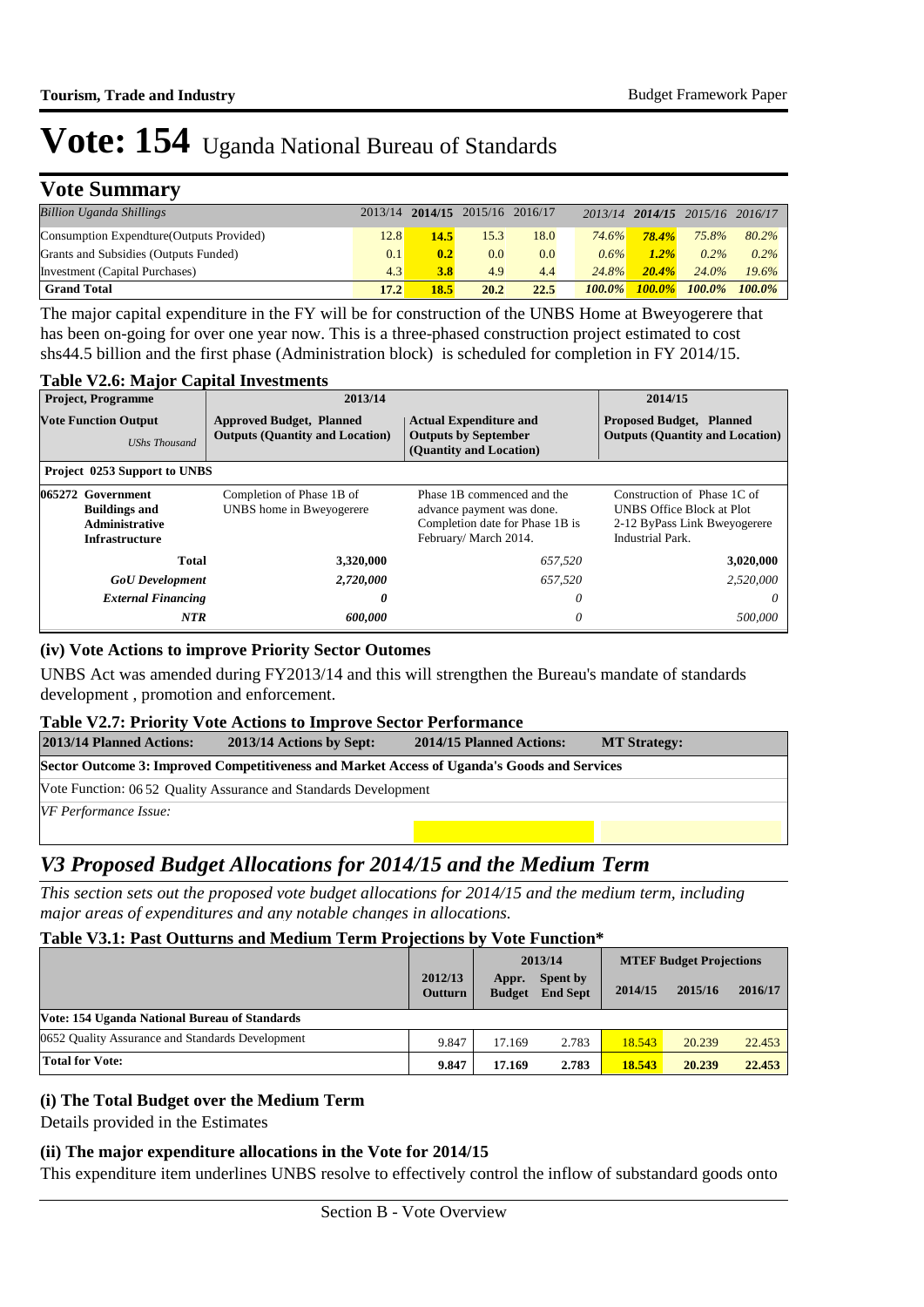## **Vote Summary**

| <b>Billion Uganda Shillings</b>           |       | 2013/14 2014/15 2015/16 2016/17 |      |      |           |              | 2013/14 2014/15 2015/16 2016/17 |               |
|-------------------------------------------|-------|---------------------------------|------|------|-----------|--------------|---------------------------------|---------------|
| Consumption Expendture (Outputs Provided) | 12.8  | 14.5                            | 15.3 | 18.0 | 74.6%     | <b>78.4%</b> | 75.8%                           | 80.2%         |
| Grants and Subsidies (Outputs Funded)     | 0.1   | 0.2                             | 0.0  | 0.0  | $0.6\%$   | $1.2\%$      | $0.2\%$                         | $0.2\%$       |
| Investment (Capital Purchases)            | 4.3   | 3.8                             | 4.9  | 4.4  | 24.8%     | $20.4\%$     | $24.0\%$                        | $19.6\%$      |
| <b>Grand Total</b>                        | 17.27 | 18.5                            | 20.2 | 22.5 | $100.0\%$ | $100.0\%$    |                                 | 100.0% 100.0% |

The major capital expenditure in the FY will be for construction of the UNBS Home at Bweyogerere that has been on-going for over one year now. This is a three-phased construction project estimated to cost shs44.5 billion and the first phase (Administration block) is scheduled for completion in FY 2014/15.

#### **Table V2.6: Major Capital Investments**

| <b>Project, Programme</b>                                                                                                        | 2013/14                                               | 2014/15                                                                                                            |                                                                                                                     |
|----------------------------------------------------------------------------------------------------------------------------------|-------------------------------------------------------|--------------------------------------------------------------------------------------------------------------------|---------------------------------------------------------------------------------------------------------------------|
| <b>Vote Function Output</b><br><b>Approved Budget, Planned</b><br><b>Outputs (Quantity and Location)</b><br><b>UShs Thousand</b> |                                                       | <b>Actual Expenditure and</b><br><b>Outputs by September</b><br>(Quantity and Location)                            | <b>Proposed Budget, Planned</b><br><b>Outputs (Quantity and Location)</b>                                           |
| <b>Project 0253 Support to UNBS</b>                                                                                              |                                                       |                                                                                                                    |                                                                                                                     |
| 065272 Government<br><b>Buildings and</b><br><b>Administrative</b><br><b>Infrastructure</b>                                      | Completion of Phase 1B of<br>UNBS home in Bweyogerere | Phase 1B commenced and the<br>advance payment was done.<br>Completion date for Phase 1B is<br>February/March 2014. | Construction of Phase 1C of<br><b>UNBS Office Block at Plot</b><br>2-12 ByPass Link Bweyogerere<br>Industrial Park. |
| Total                                                                                                                            | 3,320,000                                             | 657,520                                                                                                            | 3,020,000                                                                                                           |
| <b>GoU</b> Development                                                                                                           | 2,720,000                                             | 657,520                                                                                                            | 2,520,000                                                                                                           |
| <b>External Financing</b>                                                                                                        | 0                                                     | 0                                                                                                                  | 0                                                                                                                   |
| <b>NTR</b>                                                                                                                       | 600,000                                               | 0                                                                                                                  | 500,000                                                                                                             |

#### **(iv) Vote Actions to improve Priority Sector Outomes**

UNBS Act was amended during FY2013/14 and this will strengthen the Bureau's mandate of standards development , promotion and enforcement.

#### **Table V2.7: Priority Vote Actions to Improve Sector Performance**

| 2013/14 Planned Actions:                                                                    | 2013/14 Actions by Sept: | 2014/15 Planned Actions: | <b>MT Strategy:</b> |  |  |  |  |  |
|---------------------------------------------------------------------------------------------|--------------------------|--------------------------|---------------------|--|--|--|--|--|
| Sector Outcome 3: Improved Competitiveness and Market Access of Uganda's Goods and Services |                          |                          |                     |  |  |  |  |  |
| Vote Function: 06.52 Ouality Assurance and Standards Development                            |                          |                          |                     |  |  |  |  |  |
| VF Performance Issue:                                                                       |                          |                          |                     |  |  |  |  |  |
|                                                                                             |                          |                          |                     |  |  |  |  |  |

## *V3 Proposed Budget Allocations for 2014/15 and the Medium Term*

*This section sets out the proposed vote budget allocations for 2014/15 and the medium term, including major areas of expenditures and any notable changes in allocations.* 

#### **Table V3.1: Past Outturns and Medium Term Projections by Vote Function\***

|                                                  |                           | 2013/14                |                                    | <b>MTEF Budget Projections</b> |         |         |
|--------------------------------------------------|---------------------------|------------------------|------------------------------------|--------------------------------|---------|---------|
|                                                  | 2012/13<br><b>Outturn</b> | Appr.<br><b>Budget</b> | <b>Spent by</b><br><b>End Sept</b> | 2014/15                        | 2015/16 | 2016/17 |
| Vote: 154 Uganda National Bureau of Standards    |                           |                        |                                    |                                |         |         |
| 0652 Ouality Assurance and Standards Development | 9.847                     | 17.169                 | 2.783                              | 18.543                         | 20.239  | 22.453  |
| <b>Total for Vote:</b>                           | 9.847                     | 17.169                 | 2.783                              | 18.543                         | 20.239  | 22.453  |

#### **(i) The Total Budget over the Medium Term**

Details provided in the Estimates

#### **(ii) The major expenditure allocations in the Vote for 2014/15**

This expenditure item underlines UNBS resolve to effectively control the inflow of substandard goods onto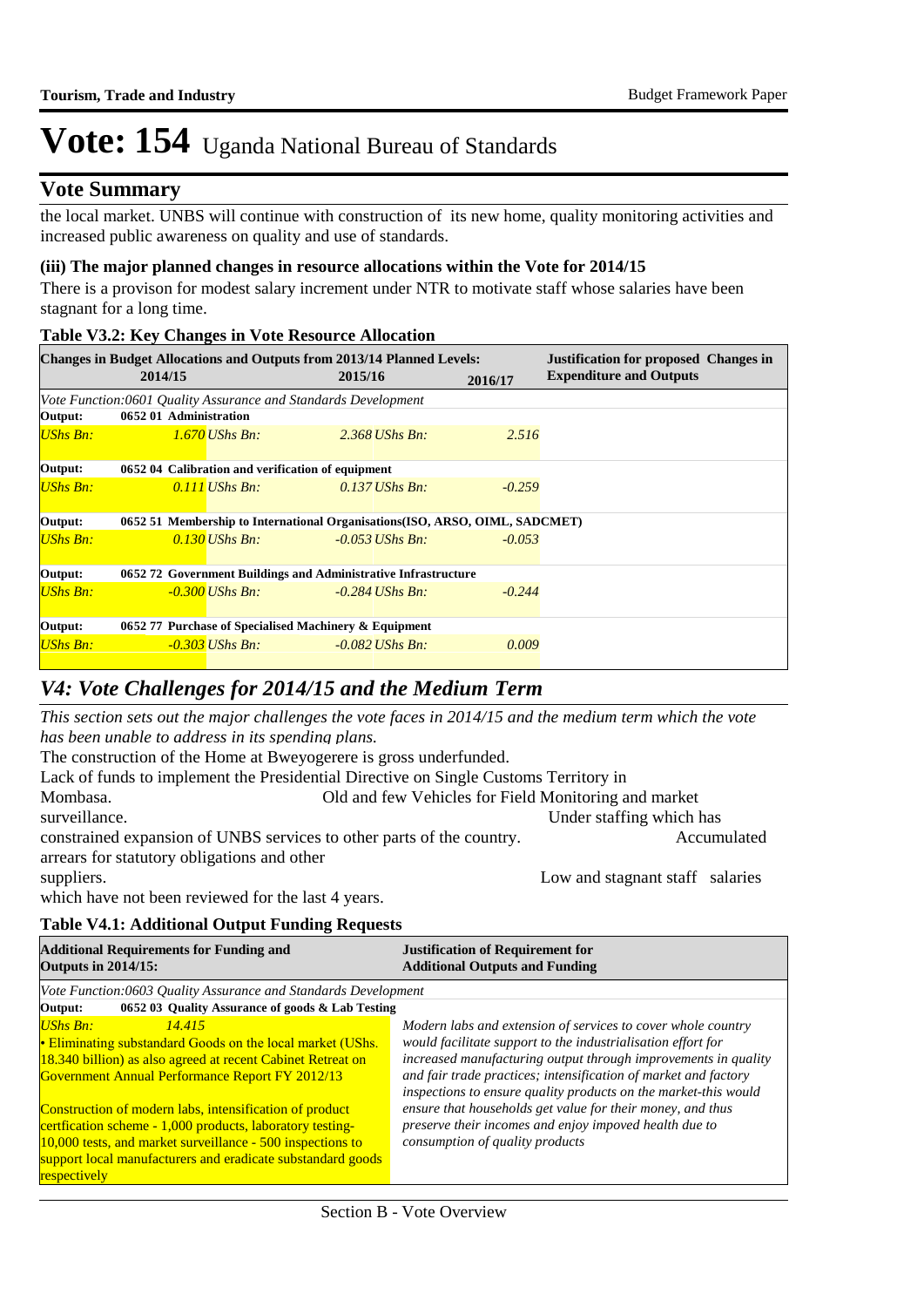### **Vote Summary**

the local market. UNBS will continue with construction of its new home, quality monitoring activities and increased public awareness on quality and use of standards.

#### **(iii) The major planned changes in resource allocations within the Vote for 2014/15**

There is a provison for modest salary increment under NTR to motivate staff whose salaries have been stagnant for a long time.

#### **Table V3.2: Key Changes in Vote Resource Allocation**

|                 | 2014/15                                                                      |                                                                | <b>Changes in Budget Allocations and Outputs from 2013/14 Planned Levels:</b><br>2015/16 | 2016/17  | <b>Justification for proposed Changes in</b><br><b>Expenditure and Outputs</b> |  |  |  |
|-----------------|------------------------------------------------------------------------------|----------------------------------------------------------------|------------------------------------------------------------------------------------------|----------|--------------------------------------------------------------------------------|--|--|--|
|                 |                                                                              | Vote Function:0601 Ouality Assurance and Standards Development |                                                                                          |          |                                                                                |  |  |  |
| Output:         | 0652 01 Administration                                                       |                                                                |                                                                                          |          |                                                                                |  |  |  |
| <b>UShs Bn:</b> |                                                                              | $1.670$ UShs Bn:                                               | $2.368$ UShs Bn:                                                                         | 2.516    |                                                                                |  |  |  |
| Output:         |                                                                              | 0652 04 Calibration and verification of equipment              |                                                                                          |          |                                                                                |  |  |  |
| <b>UShs Bn:</b> |                                                                              | $0.111$ UShs Bn:                                               | $0.137$ UShs Bn:                                                                         | $-0.259$ |                                                                                |  |  |  |
| Output:         | 0652 51 Membership to International Organisations (ISO, ARSO, OIML, SADCMET) |                                                                |                                                                                          |          |                                                                                |  |  |  |
| <b>UShs Bn:</b> |                                                                              | 0.130 UShs Bn:                                                 | $-0.053$ UShs Bn:                                                                        | $-0.053$ |                                                                                |  |  |  |
| Output:         | 0652 72 Government Buildings and Administrative Infrastructure               |                                                                |                                                                                          |          |                                                                                |  |  |  |
| <b>UShs Bn:</b> |                                                                              | $-0.300$ UShs Bn:                                              | $-0.284$ UShs Bn:                                                                        | $-0.244$ |                                                                                |  |  |  |
| Output:         | 0652 77 Purchase of Specialised Machinery & Equipment                        |                                                                |                                                                                          |          |                                                                                |  |  |  |
| <b>UShs Bn:</b> |                                                                              | -0.303 UShs Bn:                                                | $-0.082$ UShs Bn:                                                                        | 0.009    |                                                                                |  |  |  |

### *V4: Vote Challenges for 2014/15 and the Medium Term*

*This section sets out the major challenges the vote faces in 2014/15 and the medium term which the vote has been unable to address in its spending plans.*

The construction of the Home at Bweyogerere is gross underfunded.

Lack of funds to implement the Presidential Directive on Single Customs Territory in Mombasa. Old and few Vehicles for Field Monitoring and market surveillance. The staffing which has surveillance and the staffing which has surveillance. constrained expansion of UNBS services to other parts of the country. Accumulated arrears for statutory obligations and other suppliers. Low and stagnant staff salaries

which have not been reviewed for the last 4 years.

### **Table V4.1: Additional Output Funding Requests**

| <b>Additional Requirements for Funding and</b><br><b>Outputs in 2014/15:</b>                                                                                                                                                                                                                                                                                                                                                                                                   | <b>Justification of Requirement for</b><br><b>Additional Outputs and Funding</b>                                                                                                                                                                                                                                                                                                                                                                                                                |  |  |  |
|--------------------------------------------------------------------------------------------------------------------------------------------------------------------------------------------------------------------------------------------------------------------------------------------------------------------------------------------------------------------------------------------------------------------------------------------------------------------------------|-------------------------------------------------------------------------------------------------------------------------------------------------------------------------------------------------------------------------------------------------------------------------------------------------------------------------------------------------------------------------------------------------------------------------------------------------------------------------------------------------|--|--|--|
| Vote Function:0603 Quality Assurance and Standards Development<br>0652 03 Quality Assurance of goods & Lab Testing<br>Output:                                                                                                                                                                                                                                                                                                                                                  |                                                                                                                                                                                                                                                                                                                                                                                                                                                                                                 |  |  |  |
| UShs Bn:<br>14.415<br>• Eliminating substandard Goods on the local market (UShs.<br>18.340 billion) as also agreed at recent Cabinet Retreat on<br><b>Government Annual Performance Report FY 2012/13</b><br>Construction of modern labs, intensification of product<br>certfication scheme - 1,000 products, laboratory testing-<br>10,000 tests, and market surveillance - 500 inspections to<br>support local manufacturers and eradicate substandard goods<br>respectively | Modern labs and extension of services to cover whole country<br>would facilitate support to the industrialisation effort for<br>increased manufacturing output through improvements in quality<br>and fair trade practices; intensification of market and factory<br>inspections to ensure quality products on the market-this would<br>ensure that households get value for their money, and thus<br>preserve their incomes and enjoy impoved health due to<br>consumption of quality products |  |  |  |